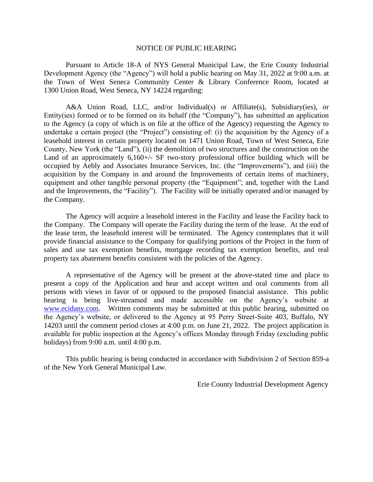## NOTICE OF PUBLIC HEARING

Pursuant to Article 18-A of NYS General Municipal Law, the Erie County Industrial Development Agency (the "Agency") will hold a public hearing on May 31, 2022 at 9:00 a.m. at the Town of West Seneca Community Center & Library Conference Room, located at 1300 Union Road, West Seneca, NY 14224 regarding:

A&A Union Road, LLC, and/or Individual(s) or Affiliate(s), Subsidiary(ies), or Entity(ies) formed or to be formed on its behalf (the "Company"), has submitted an application to the Agency (a copy of which is on file at the office of the Agency) requesting the Agency to undertake a certain project (the "Project") consisting of: (i) the acquisition by the Agency of a leasehold interest in certain property located on 1471 Union Road, Town of West Seneca, Erie County, New York (the "Land"), (ii) the demolition of two structures and the construction on the Land of an approximately 6,160+/- SF two-story professional office building which will be occupied by Aebly and Associates Insurance Services, Inc. (the "Improvements"), and (iii) the acquisition by the Company in and around the Improvements of certain items of machinery, equipment and other tangible personal property (the "Equipment"; and, together with the Land and the Improvements, the "Facility"). The Facility will be initially operated and/or managed by the Company.

The Agency will acquire a leasehold interest in the Facility and lease the Facility back to the Company. The Company will operate the Facility during the term of the lease. At the end of the lease term, the leasehold interest will be terminated. The Agency contemplates that it will provide financial assistance to the Company for qualifying portions of the Project in the form of sales and use tax exemption benefits, mortgage recording tax exemption benefits, and real property tax abatement benefits consistent with the policies of the Agency.

A representative of the Agency will be present at the above-stated time and place to present a copy of the Application and hear and accept written and oral comments from all persons with views in favor of or opposed to the proposed financial assistance. This public hearing is being live-streamed and made accessible on the Agency's website at [www.ecidany.com.](http://www.ecidany.com/) Written comments may be submitted at this public hearing, submitted on the Agency's website, or delivered to the Agency at 95 Perry Street-Suite 403, Buffalo, NY 14203 until the comment period closes at 4:00 p.m. on June 21, 2022. The project application is available for public inspection at the Agency's offices Monday through Friday (excluding public holidays) from 9:00 a.m. until 4:00 p.m.

This public hearing is being conducted in accordance with Subdivision 2 of Section 859-a of the New York General Municipal Law.

Erie County Industrial Development Agency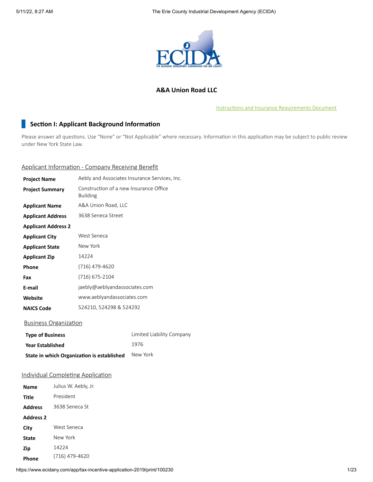

## **A&A Union Road LLC**

Instructions and Insurance [Requirements](https://www.ecidany.com/documents/tax_incentives_app/Instructions_and_Insurance_Req.PDF) Document

## **Section I: Applicant Background Information**

Please answer all questions. Use "None" or "Not Applicable" where necessary. Information in this application may be subject to public review under New York State Law.

## Applicant Information - Company Receiving Benefit

| <b>Project Name</b>        | Aebly and Associates Insurance Services, Inc.             |
|----------------------------|-----------------------------------------------------------|
| <b>Project Summary</b>     | Construction of a new Insurance Office<br><b>Building</b> |
| <b>Applicant Name</b>      | A&A Union Road, LLC                                       |
| <b>Applicant Address</b>   | 3638 Seneca Street                                        |
| <b>Applicant Address 2</b> |                                                           |
| <b>Applicant City</b>      | West Seneca                                               |
| <b>Applicant State</b>     | New York                                                  |
| <b>Applicant Zip</b>       | 14224                                                     |
| Phone                      | (716) 479-4620                                            |
| Fax                        | (716) 675-2104                                            |
| E-mail                     | jaebly@aeblyandassociates.com                             |
| Website                    | www.aeblyandassociates.com                                |
| <b>NAICS Code</b>          | 524210, 524298 & 524292                                   |
|                            |                                                           |

## Business Organization

| <b>Type of Business</b>                    | Limited Liability Company |
|--------------------------------------------|---------------------------|
| <b>Year Established</b>                    | 1976                      |
| State in which Organization is established | New York                  |

## Individual Completing Application

| <b>Name</b>      | Julius W. Aebly, Jr. |
|------------------|----------------------|
| Title            | President            |
| <b>Address</b>   | 3638 Seneca St       |
| <b>Address 2</b> |                      |
| City             | West Seneca          |
| <b>State</b>     | New York             |
| Zip              | 14224                |
| Phone            | (716) 479-4620       |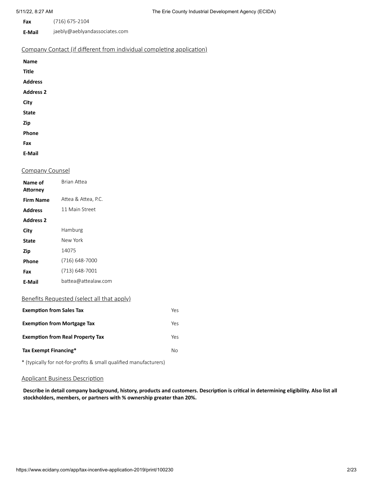- **Fax** (716) 675-2104
- **E-Mail** jaebly@aeblyandassociates.com

## Company Contact (if different from individual completing application)

| <b>Name</b>      |  |
|------------------|--|
| <b>Title</b>     |  |
| <b>Address</b>   |  |
| <b>Address 2</b> |  |
| City             |  |
| <b>State</b>     |  |
| Zip              |  |
| Phone            |  |
| Fax              |  |
| E-Mail           |  |

## Company Counsel

| Name of<br>Attorney | Brian Attea                              |
|---------------------|------------------------------------------|
| Firm Name           | Attea & Attea, P.C.                      |
| <b>Address</b>      | 11 Main Street                           |
| <b>Address 2</b>    |                                          |
| City                | Hamburg                                  |
| State               | New York                                 |
| Zip                 | 14075                                    |
| Phone               | (716) 648-7000                           |
| Fax                 | (713) 648-7001                           |
| E-Mail              | battea@attealaw.com                      |
|                     | Bonofits Boquested (select all that annu |

#### <u>Benefits Requested (select all that apply)</u>

| <b>Exemption from Sales Tax</b>         | Yes |
|-----------------------------------------|-----|
| <b>Exemption from Mortgage Tax</b>      | Yes |
| <b>Exemption from Real Property Tax</b> | Yes |
| Tax Exempt Financing*                   | N٥  |

\* (typically for not-for-profits & small qualified manufacturers)

## Applicant Business Description

Describe in detail company background, history, products and customers. Description is critical in determining eligibility. Also list all **stockholders, members, or partners with % ownership greater than 20%.**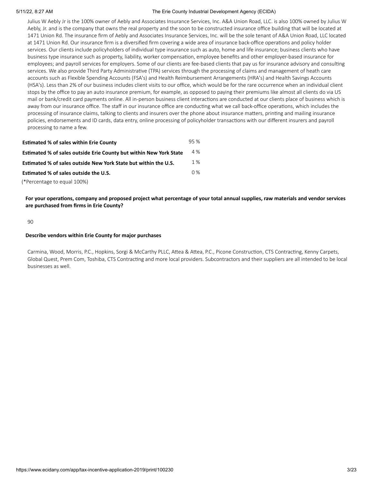Julius W Aebly Jr is the 100% owner of Aebly and Associates Insurance Services, Inc. A&A Union Road, LLC. is also 100% owned by Julius W Aebly, Jr. and is the company that owns the real property and the soon to be constructed insurance office building that will be located at 1471 Union Rd. The insurance firm of Aebly and Associates Insurance Services, Inc. will be the sole tenant of A&A Union Road, LLC located at 1471 Union Rd. Our insurance firm is a diversified firm covering a wide area of insurance back-office operations and policy holder services. Our clients include policyholders of individual type insurance such as auto, home and life insurance; business clients who have business type insurance such as property, liability, worker compensation, employee benefits and other employer-based insurance for employees; and payroll services for employers. Some of our clients are fee-based clients that pay us for insurance advisory and consulting services. We also provide Third Party Administrative (TPA) services through the processing of claims and management of heath care accounts such as Flexible Spending Accounts (FSA's) and Health Reimbursement Arrangements (HRA's) and Health Savings Accounts (HSA's). Less than 2% of our business includes client visits to our office, which would be for the rare occurrence when an individual client stops by the office to pay an auto insurance premium, for example, as opposed to paying their premiums like almost all clients do via US mail or bank/credit card payments online. All in-person business client interactions are conducted at our clients place of business which is away from our insurance office. The staff in our insurance office are conducting what we call back-office operations, which includes the processing of insurance claims, talking to clients and insurers over the phone about insurance matters, printing and mailing insurance policies, endorsements and ID cards, data entry, online processing of policyholder transactions with our different insurers and payroll processing to name a few.

| <b>Estimated % of sales within Erie County</b>                            | 95 %  |
|---------------------------------------------------------------------------|-------|
| <b>Estimated % of sales outside Erie County but within New York State</b> | 4 %   |
| Estimated % of sales outside New York State but within the U.S.           | 1 %   |
| Estimated % of sales outside the U.S.                                     | $0\%$ |
| (*Percentage to equal 100%)                                               |       |

For your operations, company and proposed project what percentage of your total annual supplies, raw materials and vendor services **are purchased from firms in Erie County?**

#### 90

#### **Describe vendors within Erie County for major purchases**

Carmina, Wood, Morris, P.C., Hopkins, Sorgi & McCarthy PLLC, Attea & Attea, P.C., Picone Construction, CTS Contracting, Kenny Carpets, Global Quest, Prem Com, Toshiba, CTS Contracting and more local providers. Subcontractors and their suppliers are all intended to be local businesses as well.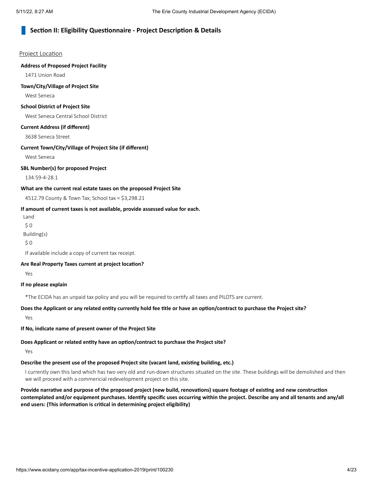## **Section II: Eligibility Questionnaire - Project Description & Details**

#### Project Location

#### **Address of Proposed Project Facility**

1471 Union Road

#### **Town/City/Village of Project Site**

West Seneca

## **School District of Project Site**

West Seneca Central School District

#### **Current Address (if different)**

3638 Seneca Street

#### **Current Town/City/Village of Project Site (if different)**

West Seneca

#### **SBL Number(s) for proposed Project**

134.59-4-28.1

#### **What are the current real estate taxes on the proposed Project Site**

4512.79 County & Town Tax; School tax = \$3,298.21

#### **If amount of current taxes is not available, provide assessed value for each.**

Land  $$0$ 

Building(s)

\$ 0

If available include a copy of current tax receipt.

#### **Are Real Property Taxes current at project location?**

Yes

#### **If no please explain**

\*The ECIDA has an unpaid tax policy and you will be required to certify all taxes and PILOTS are current.

#### Does the Applicant or any related entity currently hold fee title or have an option/contract to purchase the Project site?

Yes

**If No, indicate name of present owner of the Project Site**

## **Does Applicant or related entity have an option/contract to purchase the Project site?**

Yes

## **Describe the present use of the proposed Project site (vacant land, existing building, etc.)**

I currently own this land which has two very old and run-down structures situated on the site. These buildings will be demolished and then we will proceed with a commericial redevelopment project on this site.

Provide narrative and purpose of the proposed project (new build, renovations) square footage of existing and new construction contemplated and/or equipment purchases. Identify specific uses occurring within the project. Describe any and all tenants and any/all **end users: (This information is critical in determining project eligibility)**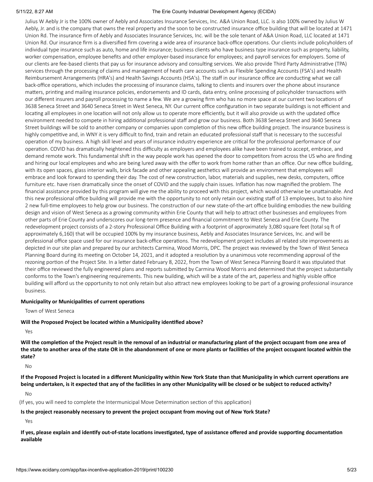Julius W Aebly Jr is the 100% owner of Aebly and Associates Insurance Services, Inc. A&A Union Road, LLC. is also 100% owned by Julius W Aebly, Jr. and is the company that owns the real property and the soon to be constructed insurance office building that will be located at 1471 Union Rd. The insurance firm of Aebly and Associates Insurance Services, Inc. will be the sole tenant of A&A Union Road, LLC located at 1471 Union Rd. Our insurance firm is a diversified firm covering a wide area of insurance back-office operations. Our clients include policyholders of individual type insurance such as auto, home and life insurance; business clients who have business type insurance such as property, liability, worker compensation, employee benefits and other employer-based insurance for employees; and payroll services for employers. Some of our clients are fee-based clients that pay us for insurance advisory and consulting services. We also provide Third Party Administrative (TPA) services through the processing of claims and management of heath care accounts such as Flexible Spending Accounts (FSA's) and Health Reimbursement Arrangements (HRA's) and Health Savings Accounts (HSA's). The staff in our insurance office are conducting what we call back-office operations, which includes the processing of insurance claims, talking to clients and insurers over the phone about insurance matters, printing and mailing insurance policies, endorsements and ID cards, data entry, online processing of policyholder transactions with our different insurers and payroll processing to name a few. We are a growing firm who has no more space at our current two locations of 3638 Seneca Street and 3640 Seneca Street in West Seneca, NY. Our current office configuration in two separate buildings is not efficient and locating all employees in one location will not only allow us to operate more efficiently, but it will also provide us with the updated office environment needed to compete in hiring additional professional staff and grow our business. Both 3638 Seneca Street and 3640 Seneca Street buildings will be sold to another company or companies upon completion of this new office building project. The insurance business is highly competitive and, in WNY it is very difficult to find, train and retain an educated professional staff that is necessary to the successful operation of my business. A high skill level and years of insurance industry experience are critical for the professional performance of our operation. COVID has dramatically heightened this difficulty as employers and employees alike have been trained to accept, embrace, and demand remote work. This fundamental shift in the way people work has opened the door to competitors from across the US who are finding and hiring our local employees and who are being lured away with the offer to work from home rather than an office. Our new office building, with its open spaces, glass interior walls, brick facade and other appealing aesthetics will provide an environment that employees will embrace and look forward to spending their day. The cost of new construction, labor, materials and supplies, new desks, computers, office furniture etc. have risen dramatically since the onset of COVID and the supply chain issues. Inflation has now magnified the problem. The financial assistance provided by this program will give me the ability to proceed with this project, which would otherwise be unattainable. And this new professional office building will provide me with the opportunity to not only retain our existing staff of 13 employees, but to also hire 2 new full-time employees to help grow our business. The construction of our new state-of-the-art office building embodies the new building design and vision of West Seneca as a growing community within Erie County that will help to attract other businesses and employees from other parts of Erie County and underscores our long-term presence and financial commitment to West Seneca and Erie County. The redevelopment project consists of a 2-story Professional Office Building with a footprint of approximately 3,080 square feet (total sq ft of approximately 6,160) that will be occupied 100% by my insurance business, Aebly and Associates Insurance Services, Inc. and will be professional office space used for our insurance back-office operations. The redevelopment project includes all related site improvements as depicted in our site plan and prepared by our architects Carmina, Wood Morris, DPC. The project was reviewed by the Town of West Seneca Planning Board during its meeting on October 14, 2021, and it adopted a resolution by a unanimous vote recommending approval of the rezoning portion of the Project Site. In a letter dated February 8, 2022, from the Town of West Seneca Planning Board it was stipulated that their office reviewed the fully engineered plans and reports submitted by Carmina Wood Morris and determined that the project substantially conforms to the Town's engineering requirements. This new building, which will be a state of the art, paperless and highly visible office building will afford us the opportunity to not only retain but also attract new employees looking to be part of a growing professional insurance business.

#### **Municipality or Municipalities of current operations**

Town of West Seneca

#### **Will the Proposed Project be located within a Municipality identified above?**

Yes

Will the completion of the Project result in the removal of an industrial or manufacturing plant of the project occupant from one area of the state to another area of the state OR in the abandonment of one or more plants or facilities of the project occupant located within the **state?**

No

If the Proposed Project is located in a different Municipality within New York State than that Municipality in which current operations are being undertaken, is it expected that any of the facilities in any other Municipality will be closed or be subject to reduced activity?

No

(If yes, you will need to complete the Intermunicipal Move Determination section of this application)

#### **Is the project reasonably necessary to prevent the project occupant from moving out of New York State?**

Yes

If yes, please explain and identify out-of-state locations investigated, type of assistance offered and provide supporting documentation **available**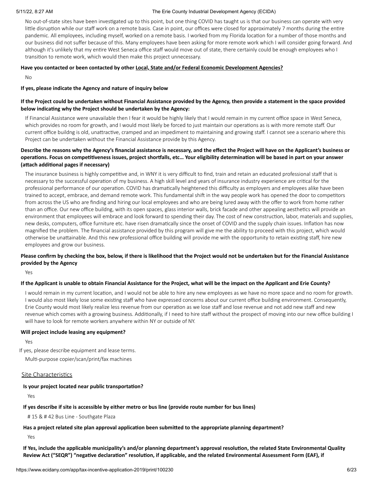No out-of-state sites have been investigated up to this point, but one thing COVID has taught us is that our business can operate with very little disruption while our staff work on a remote basis. Case in point, our offices were closed for approximately 7 months during the entire pandemic. All employees, including myself, worked on a remote basis. I worked from my Florida location for a number of those months and our business did not suffer because of this. Many employees have been asking for more remote work which I will consider going forward. And although it's unlikely that my entire West Seneca office staff would move out of state, there certainly could be enough employees who I transition to remote work, which would then make this project unnecessary.

#### **Have you contacted or been contacted by other Local, State and/or Federal Economic Development Agencies?**

No

#### **If yes, please indicate the Agency and nature of inquiry below**

#### If the Project could be undertaken without Financial Assistance provided by the Agency, then provide a statement in the space provided **below indicating why the Project should be undertaken by the Agency:**

If Financial Assistance were unavailable then I fear it would be highly likely that I would remain in my current office space in West Seneca, which provides no room for growth, and I would most likely be forced to just maintain our operations as is with more remote staff. Our current office buildng is old, unattractive, cramped and an impediment to maintaining and growing staff. I cannot see a scenario where this Project can be undertaken without the Financial Assistance provide by this Agency.

#### Describe the reasons why the Agency's financial assistance is necessary, and the effect the Project will have on the Applicant's business or operations. Focus on competitiveness issues, project shortfalls, etc... Your eligibility determination will be based in part on your answer **(attach additional pages if necessary)**

The insurance business is highly competitive and, in WNY it is very difficult to find, train and retain an educated professional staff that is necessary to the successful operation of my business. A high skill level and years of insurance industry experience are critical for the professional performance of our operation. COVID has dramatically heightened this difficulty as employers and employees alike have been trained to accept, embrace, and demand remote work. This fundamental shift in the way people work has opened the door to competitors from across the US who are finding and hiring our local employees and who are being lured away with the offer to work from home rather than an office. Our new office buildng, with its open spaces, glass interior walls, brick facade and other appealing aesthetics will provide an environment that employees will embrace and look forward to spending their day. The cost of new construction, labor, materials and supplies, new desks, computers, office furniture etc. have risen dramatically since the onset of COVID and the supply chain issues. Inflation has now magnified the problem. The financial assistance provided by this program will give me the ability to proceed with this project, which would otherwise be unattainable. And this new professional office building will provide me with the opportunity to retain existing staff, hire new employees and grow our business.

#### Please confirm by checking the box, below, if there is likelihood that the Project would not be undertaken but for the Financial Assistance **provided by the Agency**

Yes

#### If the Applicant is unable to obtain Financial Assistance for the Project, what will be the impact on the Applicant and Erie County?

I would remain in my current location, and I would not be able to hire any new employees as we have no more space and no room for growth. I would also most likely lose some existing staff who have expressed concerns about our current office building environment. Consequently, Erie County would most likely realize less revenue from our operation as we lose staff and lose revenue and not add new staff and new revenue which comes with a growing business. Additionally, if I need to hire staff without the prospect of moving into our new office building I will have to look for remote workers anywhere within NY or outside of NY.

#### **Will project include leasing any equipment?**

Yes

If yes, please describe equipment and lease terms. Multi-purpose copier/scan/print/fax machines

#### Site Characteristics

#### **Is your project located near public transportation?**

Yes

#### If yes describe if site is accessible by either metro or bus line (provide route number for bus lines)

# 15 & # 42 Bus Line - Southgate Plaza

#### **Has a project related site plan approval application been submitted to the appropriate planning department?**

Yes

If Yes, include the applicable municipality's and/or planning department's approval resolution, the related State Environmental Quality Review Act ("SEQR") "negative declaration" resolution, if applicable, and the related Environmental Assessment Form (EAF), if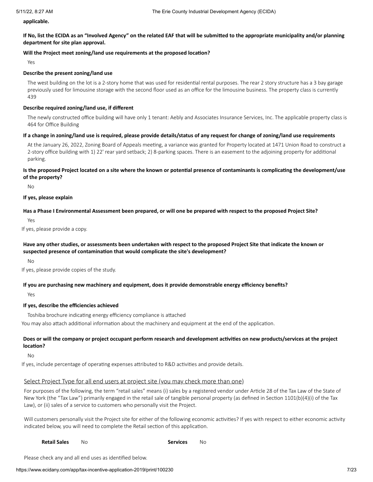**applicable.**

If No, list the ECIDA as an "Involved Agency" on the related EAF that will be submitted to the appropriate municipality and/or planning **department for site plan approval.**

#### **Will the Project meet zoning/land use requirements at the proposed location?**

Yes

#### **Describe the present zoning/land use**

The west building on the lot is a 2-story home that was used for residential rental purposes. The rear 2 story structure has a 3 bay garage previously used for limousine storage with the second floor used as an office for the limousine business. The property class is currently 439

#### **Describe required zoning/land use, if different**

The newly constructed office building will have only 1 tenant: Aebly and Associates Insurance Services, Inc. The applicable property class is 464 for Office Building

#### If a change in zoning/land use is required, please provide details/status of any request for change of zoning/land use requirements

At the January 26, 2022, Zoning Board of Appeals meeting, a variance was granted for Property located at 1471 Union Road to construct a 2-story office building with 1) 22' rear yard setback; 2) 8-parking spaces. There is an easement to the adjoining property for additional parking.

#### Is the proposed Project located on a site where the known or potential presence of contaminants is complicating the development/use **of the property?**

No

#### **If yes, please explain**

Has a Phase I Environmental Assessment been prepared, or will one be prepared with respect to the proposed Project Site?

Yes

If yes, please provide a copy.

#### Have any other studies, or assessments been undertaken with respect to the proposed Project Site that indicate the known or **suspected presence of contamination that would complicate the site's development?**

No

If yes, please provide copies of the study.

#### **If you are purchasing new machinery and equipment, does it provide demonstrable energy efficiency benefits?**

Yes

#### **If yes, describe the efficiencies achieved**

Toshiba brochure indicating energy efficiency compliance is attached

You may also attach additional information about the machinery and equipment at the end of the application.

#### Does or will the company or project occupant perform research and development activities on new products/services at the project **location?**

No

If yes, include percentage of operating expenses attributed to R&D activities and provide details.

#### Select Project Type for all end users at project site (you may check more than one)

For purposes of the following, the term "retail sales" means (i) sales by a registered vendor under Article 28 of the Tax Law of the State of New York (the "Tax Law") primarily engaged in the retail sale of tangible personal property (as defined in Section 1101(b)(4)(i) of the Tax Law), or (ii) sales of a service to customers who personally visit the Project.

Will customers personally visit the Project site for either of the following economic activities? If yes with respect to either economic activity indicated below, you will need to complete the Retail section of this application.

#### **Retail Sales** No **Services** No

Please check any and all end uses as identified below.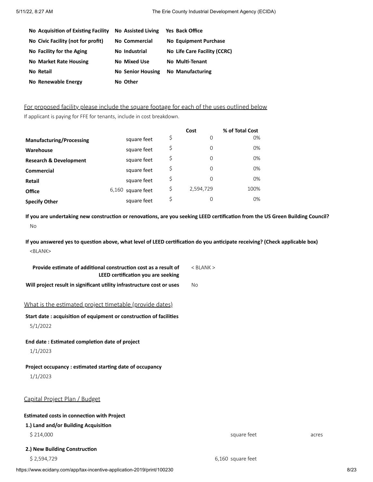| No Acquisition of Existing Facility | <b>No Assisted Living</b> | <b>Yes Back Office</b>       |
|-------------------------------------|---------------------------|------------------------------|
| No Civic Facility (not for profit)  | No Commercial             | No Equipment Purchase        |
| No Facility for the Aging           | No Industrial             | No Life Care Facility (CCRC) |
| <b>No Market Rate Housing</b>       | No Mixed Use              | No Multi-Tenant              |
| No Retail                           | <b>No Senior Housing</b>  | <b>No Manufacturing</b>      |
| No Renewable Energy                 | No Other                  |                              |

For proposed facility please include the square footage for each of the uses outlined below If applicant is paying for FFE for tenants, include in cost breakdown.

|                                   |                     | Cost            | % of Total Cost |
|-----------------------------------|---------------------|-----------------|-----------------|
| <b>Manufacturing/Processing</b>   | square feet         | \$<br>0         | 0%              |
| Warehouse                         | square feet         | \$<br>0         | 0%              |
| <b>Research &amp; Development</b> | square feet         | \$<br>0         | 0%              |
| <b>Commercial</b>                 | square feet         | \$<br>0         | 0%              |
| Retail                            | square feet         | \$<br>0         | 0%              |
| <b>Office</b>                     | $6,160$ square feet | \$<br>2,594,729 | 100%            |
| <b>Specify Other</b>              | square feet         | \$<br>0         | $0\%$           |

If you are undertaking new construction or renovations, are you seeking LEED certification from the US Green Building Council? No

If you answered yes to question above, what level of LEED certification do you anticipate receiving? (Check applicable box) <BLANK>

| Provide estimate of additional construction cost as a result of<br>LEED certification you are seeking | $<$ BLANK $>$     |       |
|-------------------------------------------------------------------------------------------------------|-------------------|-------|
| Will project result in significant utility infrastructure cost or uses                                | <b>No</b>         |       |
| What is the estimated project timetable (provide dates)                                               |                   |       |
| Start date: acquisition of equipment or construction of facilities                                    |                   |       |
| 5/1/2022                                                                                              |                   |       |
| End date: Estimated completion date of project                                                        |                   |       |
| 1/1/2023                                                                                              |                   |       |
| Project occupancy : estimated starting date of occupancy                                              |                   |       |
| 1/1/2023                                                                                              |                   |       |
|                                                                                                       |                   |       |
| Capital Project Plan / Budget                                                                         |                   |       |
| <b>Estimated costs in connection with Project</b>                                                     |                   |       |
| 1.) Land and/or Building Acquisition                                                                  |                   |       |
| \$214,000                                                                                             | square feet       | acres |
| 2.) New Building Construction                                                                         |                   |       |
| \$2,594,729                                                                                           | 6,160 square feet |       |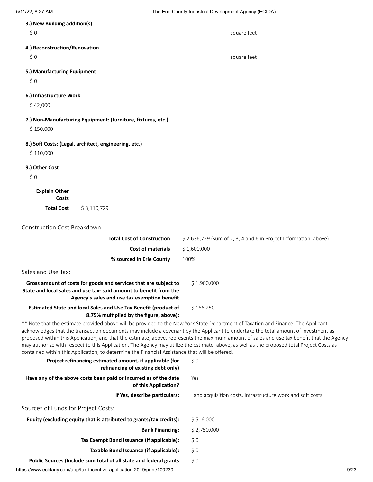| 5/11/22, 8:27 AM                                                                               |                                                                                                                  | The Erie County Industrial Development Agency (ECIDA)                                                                                                                                                                                                                                                                                                                                                                                                                                                                                                               |
|------------------------------------------------------------------------------------------------|------------------------------------------------------------------------------------------------------------------|---------------------------------------------------------------------------------------------------------------------------------------------------------------------------------------------------------------------------------------------------------------------------------------------------------------------------------------------------------------------------------------------------------------------------------------------------------------------------------------------------------------------------------------------------------------------|
| 3.) New Building addition(s)                                                                   |                                                                                                                  |                                                                                                                                                                                                                                                                                                                                                                                                                                                                                                                                                                     |
| \$0                                                                                            |                                                                                                                  | square feet                                                                                                                                                                                                                                                                                                                                                                                                                                                                                                                                                         |
| 4.) Reconstruction/Renovation                                                                  |                                                                                                                  |                                                                                                                                                                                                                                                                                                                                                                                                                                                                                                                                                                     |
| \$0                                                                                            |                                                                                                                  | square feet                                                                                                                                                                                                                                                                                                                                                                                                                                                                                                                                                         |
| 5.) Manufacturing Equipment                                                                    |                                                                                                                  |                                                                                                                                                                                                                                                                                                                                                                                                                                                                                                                                                                     |
| \$0                                                                                            |                                                                                                                  |                                                                                                                                                                                                                                                                                                                                                                                                                                                                                                                                                                     |
| 6.) Infrastructure Work                                                                        |                                                                                                                  |                                                                                                                                                                                                                                                                                                                                                                                                                                                                                                                                                                     |
| \$42,000                                                                                       |                                                                                                                  |                                                                                                                                                                                                                                                                                                                                                                                                                                                                                                                                                                     |
| 7.) Non-Manufacturing Equipment: (furniture, fixtures, etc.)                                   |                                                                                                                  |                                                                                                                                                                                                                                                                                                                                                                                                                                                                                                                                                                     |
| \$150,000                                                                                      |                                                                                                                  |                                                                                                                                                                                                                                                                                                                                                                                                                                                                                                                                                                     |
| 8.) Soft Costs: (Legal, architect, engineering, etc.)                                          |                                                                                                                  |                                                                                                                                                                                                                                                                                                                                                                                                                                                                                                                                                                     |
| \$110,000                                                                                      |                                                                                                                  |                                                                                                                                                                                                                                                                                                                                                                                                                                                                                                                                                                     |
| 9.) Other Cost                                                                                 |                                                                                                                  |                                                                                                                                                                                                                                                                                                                                                                                                                                                                                                                                                                     |
| \$0                                                                                            |                                                                                                                  |                                                                                                                                                                                                                                                                                                                                                                                                                                                                                                                                                                     |
| <b>Explain Other</b>                                                                           |                                                                                                                  |                                                                                                                                                                                                                                                                                                                                                                                                                                                                                                                                                                     |
| Costs                                                                                          |                                                                                                                  |                                                                                                                                                                                                                                                                                                                                                                                                                                                                                                                                                                     |
| <b>Total Cost</b><br>\$3,110,729                                                               |                                                                                                                  |                                                                                                                                                                                                                                                                                                                                                                                                                                                                                                                                                                     |
|                                                                                                |                                                                                                                  |                                                                                                                                                                                                                                                                                                                                                                                                                                                                                                                                                                     |
| Construction Cost Breakdown:                                                                   |                                                                                                                  |                                                                                                                                                                                                                                                                                                                                                                                                                                                                                                                                                                     |
|                                                                                                | <b>Total Cost of Construction</b><br><b>Cost of materials</b>                                                    | \$2,636,729 (sum of 2, 3, 4 and 6 in Project Information, above)<br>\$1,600,000                                                                                                                                                                                                                                                                                                                                                                                                                                                                                     |
|                                                                                                | % sourced in Erie County                                                                                         | 100%                                                                                                                                                                                                                                                                                                                                                                                                                                                                                                                                                                |
|                                                                                                |                                                                                                                  |                                                                                                                                                                                                                                                                                                                                                                                                                                                                                                                                                                     |
| Sales and Use Tax:                                                                             |                                                                                                                  |                                                                                                                                                                                                                                                                                                                                                                                                                                                                                                                                                                     |
| State and local sales and use tax-said amount to benefit from the                              | Gross amount of costs for goods and services that are subject to<br>Agency's sales and use tax exemption benefit | \$1,900,000                                                                                                                                                                                                                                                                                                                                                                                                                                                                                                                                                         |
|                                                                                                | Estimated State and local Sales and Use Tax Benefit (product of<br>8.75% multiplied by the figure, above):       | \$166,250                                                                                                                                                                                                                                                                                                                                                                                                                                                                                                                                                           |
| contained within this Application, to determine the Financial Assistance that will be offered. |                                                                                                                  | ** Note that the estimate provided above will be provided to the New York State Department of Taxation and Finance. The Applicant<br>acknowledges that the transaction documents may include a covenant by the Applicant to undertake the total amount of investment as<br>proposed within this Application, and that the estimate, above, represents the maximum amount of sales and use tax benefit that the Agency<br>may authorize with respect to this Application. The Agency may utilize the estimate, above, as well as the proposed total Project Costs as |
|                                                                                                | Project refinancing estimated amount, if applicable (for<br>refinancing of existing debt only)                   | \$0                                                                                                                                                                                                                                                                                                                                                                                                                                                                                                                                                                 |
| Have any of the above costs been paid or incurred as of the date                               | of this Application?                                                                                             | Yes                                                                                                                                                                                                                                                                                                                                                                                                                                                                                                                                                                 |

**If Yes, describe particulars:** Land acquisition costs, infrastructure work and soft costs.

Sources of Funds for Project Costs:

| Equity (excluding equity that is attributed to grants/tax credits): | \$516,000   |
|---------------------------------------------------------------------|-------------|
| <b>Bank Financing:</b>                                              | \$2,750,000 |
| Tax Exempt Bond Issuance (if applicable):                           | S O         |
| Taxable Bond Issuance (if applicable):                              | S O         |
| Public Sources (Include sum total of all state and federal grants   | SO.         |

https://www.ecidany.com/app/tax-incentive-application-2019/print/100230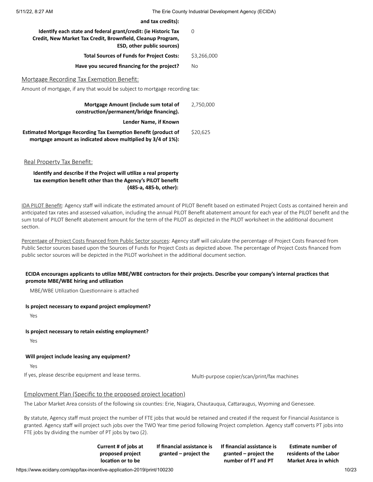**and tax credits):**

| O           |
|-------------|
| \$3,266,000 |
| No          |
|             |

Mortgage Recording Tax Exemption Benefit:

Amount of mortgage, if any that would be subject to mortgage recording tax:

| Mortgage Amount (include sum total of<br>construction/permanent/bridge financing).                                             | 2,750,000 |
|--------------------------------------------------------------------------------------------------------------------------------|-----------|
| Lender Name, if Known                                                                                                          |           |
| Estimated Mortgage Recording Tax Exemption Benefit (product of<br>mortgage amount as indicated above multiplied by 3/4 of 1%): | \$20,625  |

Real Property Tax Benefit:

**Identify and describe if the Project will utilize a real property tax exemption benefit other than the Agency's PILOT benefit (485-a, 485-b, other):**

IDA PILOT Benefit: Agency staff will indicate the estimated amount of PILOT Benefit based on estimated Project Costs as contained herein and anticipated tax rates and assessed valuation, including the annual PILOT Benefit abatement amount for each year of the PILOT benefit and the sum total of PILOT Benefit abatement amount for the term of the PILOT as depicted in the PILOT worksheet in the additional document section.

Percentage of Project Costs financed from Public Sector sources: Agency staff will calculate the percentage of Project Costs financed from Public Sector sources based upon the Sources of Funds for Project Costs as depicted above. The percentage of Project Costs financed from public sector sources will be depicted in the PILOT worksheet in the additional document section.

#### ECIDA encourages applicants to utilize MBE/WBE contractors for their projects. Describe your company's internal practices that **promote MBE/WBE hiring and utilization**

MBE/WBE Utilization Questionnaire is attached

#### **Is project necessary to expand project employment?**

Yes

#### **Is project necessary to retain existing employment?**

Yes

#### **Will project include leasing any equipment?**

Yes

If yes, please describe equipment and lease terms. Multi-purpose copier/scan/print/fax machines

## Employment Plan (Specific to the proposed project location)

The Labor Market Area consists of the following six counties: Erie, Niagara, Chautauqua, Cattaraugus, Wyoming and Genessee.

By statute, Agency staff must project the number of FTE jobs that would be retained and created if the request for Financial Assistance is granted. Agency staff will project such jobs over the TWO Year time period following Project completion. Agency staff converts PT jobs into FTE jobs by dividing the number of PT jobs by two (2).

> **Current # of jobs at proposed project location or to be**

**If financial assistance is granted – project the**

**If financial assistance is granted – project the number of FT and PT**

**Estimate number of residents of the Labor Market Area in which**

https://www.ecidany.com/app/tax-incentive-application-2019/print/100230 10/23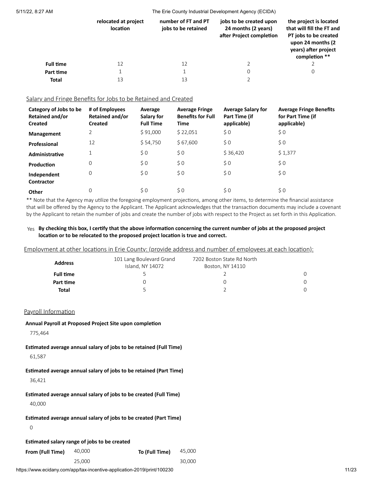|                  | relocated at project<br><b>location</b> | number of FT and PT<br>jobs to be retained | jobs to be created upon<br>24 months (2 years)<br>after Project completion | the project is located<br>that will fill the FT and<br>PT jobs to be created<br>upon 24 months (2)<br>years) after project<br>completion ** |
|------------------|-----------------------------------------|--------------------------------------------|----------------------------------------------------------------------------|---------------------------------------------------------------------------------------------------------------------------------------------|
| <b>Full time</b> | 12                                      | 12                                         |                                                                            |                                                                                                                                             |
| Part time        |                                         |                                            |                                                                            | 0                                                                                                                                           |
| <b>Total</b>     | 13                                      | 13                                         |                                                                            |                                                                                                                                             |

#### Salary and Fringe Benefits for Jobs to be Retained and Created

| Category of Jobs to be<br><b>Retained and/or</b><br><b>Created</b> | # of Employees<br>Retained and/or<br><b>Created</b> | Average<br>Salary for<br><b>Full Time</b> | <b>Average Fringe</b><br><b>Benefits for Full</b><br>Time | <b>Average Salary for</b><br>Part Time (if<br>applicable) | <b>Average Fringe Benefits</b><br>for Part Time (if<br>applicable) |
|--------------------------------------------------------------------|-----------------------------------------------------|-------------------------------------------|-----------------------------------------------------------|-----------------------------------------------------------|--------------------------------------------------------------------|
| <b>Management</b>                                                  | 2                                                   | \$91,000                                  | \$22,051                                                  | $\zeta$ 0                                                 | \$0                                                                |
| Professional                                                       | 12                                                  | \$54,750                                  | \$67,600                                                  | \$0                                                       | \$0                                                                |
| Administrative                                                     | 1<br>┻                                              | \$0                                       | $\zeta$ 0                                                 | \$36,420                                                  | \$1,377                                                            |
| Production                                                         | $\mathbf 0$                                         | $\zeta$ 0                                 | \$0                                                       | \$0                                                       | \$0                                                                |
| Independent<br><b>Contractor</b>                                   | 0                                                   | \$0                                       | \$0                                                       | \$0                                                       | \$0                                                                |
| Other                                                              | $\mathbf 0$                                         | \$0                                       | \$0                                                       | \$0                                                       | \$0                                                                |

\*\* Note that the Agency may utilize the foregoing employment projections, among other items, to determine the financial assistance that will be offered by the Agency to the Applicant. The Applicant acknowledges that the transaction documents may include a covenant by the Applicant to retain the number of jobs and create the number of jobs with respect to the Project as set forth in this Application.

#### Yes By checking this box, I certify that the above information concerning the current number of jobs at the proposed project **location or to be relocated to the proposed project location is true and correct.**

Employment at other locations in Erie County: (provide address and number of employees at each location):

| <b>Address</b>   | 101 Lang Boulevard Grand<br>Island, NY 14072 | 7202 Boston State Rd North<br>Boston, NY 14110 |  |
|------------------|----------------------------------------------|------------------------------------------------|--|
| <b>Full time</b> |                                              |                                                |  |
| Part time        |                                              |                                                |  |
| Total            |                                              |                                                |  |

## Payroll Information

#### **Annual Payroll at Proposed Project Site upon completion**

775,464

## **Estimated average annual salary of jobs to be retained (Full Time)**

61,587

**Estimated average annual salary of jobs to be retained (Part Time)** 36,421

**Estimated average annual salary of jobs to be created (Full Time)** 40,000

```
Estimated average annual salary of jobs to be created (Part Time)
```
0

#### **Estimated salary range of jobs to be created**

**From (Full Time)** 40,000 **To (Full Time)** 45,000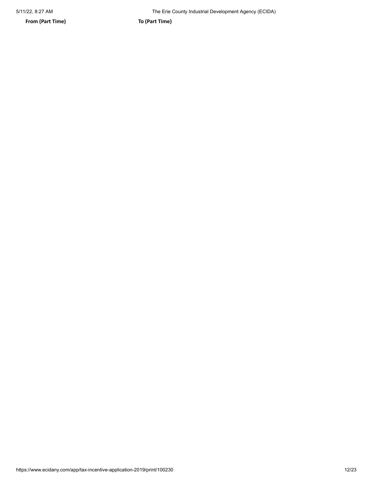**From (Part Time) To (Part Time)**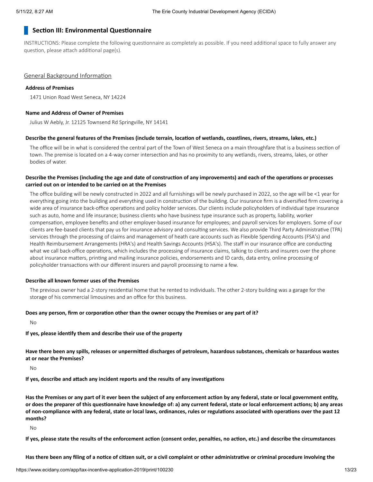## **Section III: Environmental Questionnaire**

INSTRUCTIONS: Please complete the following questionnaire as completely as possible. If you need additional space to fully answer any question, please attach additional page(s).

#### General Background Information

#### **Address of Premises**

1471 Union Road West Seneca, NY 14224

#### **Name and Address of Owner of Premises**

Julius W Aebly, Jr. 12125 Townsend Rd Springville, NY 14141

#### Describe the general features of the Premises (include terrain, location of wetlands, coastlines, rivers, streams, lakes, etc.)

The office will be in what is considered the central part of the Town of West Seneca on a main throughfare that is a business section of town. The premise is located on a 4-way corner intersection and has no proximity to any wetlands, rivers, streams, lakes, or other bodies of water.

#### Describe the Premises (including the age and date of construction of any improvements) and each of the operations or processes **carried out on or intended to be carried on at the Premises**

The office building will be newly constructed in 2022 and all furnishings will be newly purchased in 2022, so the age will be <1 year for everything going into the building and everything used in construction of the building. Our insurance firm is a diversified firm covering a wide area of insurance back-office operations and policy holder services. Our clients include policyholders of individual type insurance such as auto, home and life insurance; business clients who have business type insurance such as property, liability, worker compensation, employee benefits and other employer-based insurance for employees; and payroll services for employers. Some of our clients are fee-based clients that pay us for insurance advisory and consulting services. We also provide Third Party Administrative (TPA) services through the processing of claims and management of heath care accounts such as Flexible Spending Accounts (FSA's) and Health Reimbursement Arrangements (HRA's) and Health Savings Accounts (HSA's). The staff in our insurance office are conducting what we call back-office operations, which includes the processing of insurance claims, talking to clients and insurers over the phone about insurance matters, printing and mailing insurance policies, endorsements and ID cards, data entry, online processing of policyholder transactions with our different insurers and payroll processing to name a few.

#### **Describe all known former uses of the Premises**

The previous owner had a 2-story residential home that he rented to individuals. The other 2-story building was a garage for the storage of his commercial limousines and an office for this business.

#### **Does any person, firm or corporation other than the owner occupy the Premises or any part of it?**

No

## **If yes, please identify them and describe their use of the property**

Have there been any spills, releases or unpermitted discharges of petroleum, hazardous substances, chemicals or hazardous wastes **at or near the Premises?**

No

**If yes, describe and attach any incident reports and the results of any investigations**

Has the Premises or any part of it ever been the subject of any enforcement action by any federal, state or local government entity, or does the preparer of this questionnaire have knowledge of: a) any current federal, state or local enforcement actions; b) any areas of non-compliance with any federal, state or local laws, ordinances, rules or regulations associated with operations over the past 12 **months?**

No

If yes, please state the results of the enforcement action (consent order, penalties, no action, etc.) and describe the circumstances

Has there been any filing of a notice of citizen suit, or a civil complaint or other administrative or criminal procedure involving the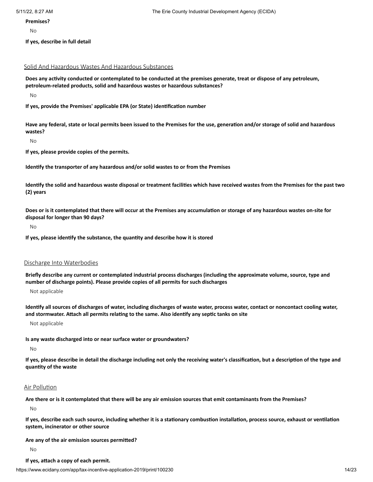#### **Premises?**

No

**If yes, describe in full detail**

## Solid And Hazardous Wastes And Hazardous Substances

Does any activity conducted or contemplated to be conducted at the premises generate, treat or dispose of any petroleum, **petroleum-related products, solid and hazardous wastes or hazardous substances?**

No

**If yes, provide the Premises' applicable EPA (or State) identification number**

Have any federal, state or local permits been issued to the Premises for the use, generation and/or storage of solid and hazardous **wastes?**

No

**If yes, please provide copies of the permits.**

**Identify the transporter of any hazardous and/or solid wastes to or from the Premises**

Identify the solid and hazardous waste disposal or treatment facilities which have received wastes from the Premises for the past two **(2) years**

Does or is it contemplated that there will occur at the Premises any accumulation or storage of any hazardous wastes on-site for **disposal for longer than 90 days?**

No

**If yes, please identify the substance, the quantity and describe how it is stored**

#### Discharge Into Waterbodies

Briefly describe any current or contemplated industrial process discharges (including the approximate volume, source, type and **number of discharge points). Please provide copies of all permits for such discharges**

Not applicable

Identify all sources of discharges of water, including discharges of waste water, process water, contact or noncontact cooling water, **and stormwater. Attach all permits relating to the same. Also identify any septic tanks on site**

Not applicable

#### **Is any waste discharged into or near surface water or groundwaters?**

No

If yes, please describe in detail the discharge including not only the receiving water's classification, but a description of the type and **quantity of the waste**

#### Air Pollution

Are there or is it contemplated that there will be any air emission sources that emit contaminants from the Premises?

No

If yes, describe each such source, including whether it is a stationary combustion installation, process source, exhaust or ventilation **system, incinerator or other source**

#### **Are any of the air emission sources permitted?**

No

#### **If yes, attach a copy of each permit.**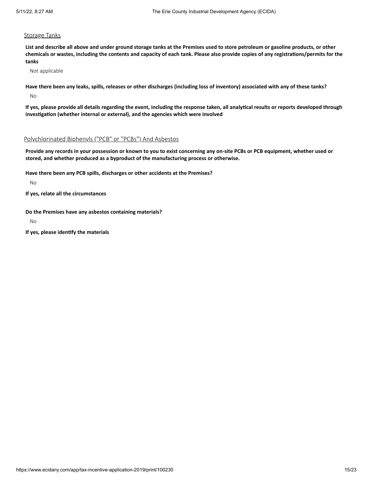#### **Storage Tanks**

List and describe all above and under ground storage tanks at the Premises used to store petroleum or gasoline products, or other chemicals or wastes, including the contents and capacity of each tank. Please also provide copies of any registrations/permits for the **tanks**

Not applicable

Have there been any leaks, spills, releases or other discharges (including loss of inventory) associated with any of these tanks?

No

If yes, please provide all details regarding the event, including the response taken, all analytical results or reports developed through **investigation (whether internal or external), and the agencies which were involved**

## Polychlorinated Biphenyls ("PCB" or "PCBs") And Asbestos

Provide any records in your possession or known to you to exist concerning any on-site PCBs or PCB equipment, whether used or **stored, and whether produced as a byproduct of the manufacturing process or otherwise.**

**Have there been any PCB spills, discharges or other accidents at the Premises?**

No

**If yes, relate all the circumstances**

**Do the Premises have any asbestos containing materials?**

No

**If yes, please identify the materials**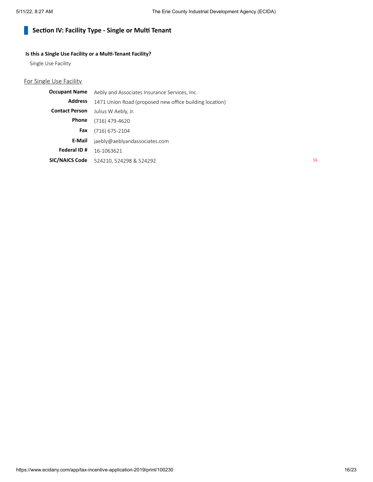#### **Section IV: Facility Type - Single or Multi Tenant**  $\mathcal{L}_{\mathcal{A}}$

## **Is this a Single Use Facility or a Multi-Tenant Facility?**

Single Use Facility

# For Single Use Facility

| <b>Occupant Name</b>  | Aebly and Associates Insurance Services, Inc.           |  |  |
|-----------------------|---------------------------------------------------------|--|--|
| <b>Address</b>        | 1471 Union Road (proposed new office building location) |  |  |
| <b>Contact Person</b> | Julius W Aebly, Jr.                                     |  |  |
| Phone                 | (716) 479-4620                                          |  |  |
| Fax                   | $(716)$ 675-2104                                        |  |  |
| E-Mail                | jaebly@aeblyandassociates.com                           |  |  |
| Federal ID#           | 16-1063621                                              |  |  |
| <b>SIC/NAICS Code</b> | 524210, 524298 & 524292                                 |  |  |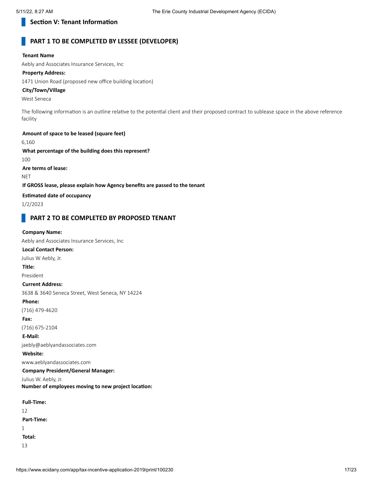## **Section V: Tenant Information**

## **PART 1 TO BE COMPLETED BY LESSEE (DEVELOPER)**

#### **Tenant Name**

Aebly and Associates Insurance Services, Inc

#### **Property Address:**

1471 Union Road (proposed new office building location)

## **City/Town/Village**

West Seneca

The following information is an outline relative to the potential client and their proposed contract to sublease space in the above reference facility

## **Amount of space to be leased (square feet)** 6,160 **What percentage of the building does this represent?** 100

**Are terms of lease:**

**NET** 

#### **If GROSS lease, please explain how Agency benefits are passed to the tenant**

**Estimated date of occupancy**

1/2/2023

## **PART 2 TO BE COMPLETED BY PROPOSED TENANT**

#### **Company Name:**

Aebly and Associates Insurance Services, Inc

## **Local Contact Person:**

Julius W Aebly, Jr.

#### **Title:**

President

#### **Current Address:**

3638 & 3640 Seneca Street, West Seneca, NY 14224

#### **Phone:**

(716) 479-4620

**Fax:**

(716) 675-2104

#### **E-Mail:**

jaebly@aeblyandassociates.com

**Website:**

www.aeblyandassociates.com

## **Company President/General Manager:**

Julius W. Aebly, Jr. **Number of employees moving to new project location:**

| <b>Full-Time:</b> |  |
|-------------------|--|
| 12                |  |
| Part-Time:        |  |
| 1                 |  |
| Total:            |  |
| 13                |  |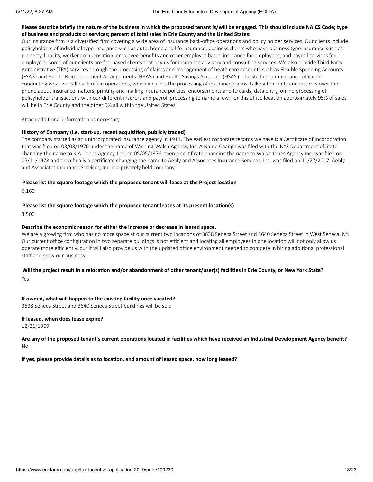#### Please describe briefly the nature of the business in which the proposed tenant is/will be engaged. This should include NAICS Code; type **of business and products or services; percent of total sales in Erie County and the United States:**

Our insurance firm is a diversified firm covering a wide area of insurance back-office operations and policy holder services. Our clients include policyholders of individual type insurance such as auto, home and life insurance; business clients who have business type insurance such as property, liability, worker compensation, employee benefits and other employer-based insurance for employees; and payroll services for employers. Some of our clients are fee-based clients that pay us for insurance advisory and consulting services. We also provide Third Party Administrative (TPA) services through the processing of claims and management of heath care accounts such as Flexible Spending Accounts (FSA's) and Health Reimbursement Arrangements (HRA's) and Health Savings Accounts (HSA's). The staff in our insurance office are conducting what we call back-office operations, which includes the processing of insurance claims, talking to clients and insurers over the phone about insurance matters, printing and mailing insurance policies, endorsements and ID cards, data entry, online processing of policyholder transactions with our different insurers and payroll processing to name a few. For this office location approximately 95% of sales will be in Erie County and the other 5% all within the United States.

Attach additional information as necessary.

#### **History of Company (i.e. start-up, recent acquisition, publicly traded)**

The company started as an unincorporated insurance agency in 1913. The earliest corporate records we have is a Certificate of Incorporation that was filed on 03/03/1976 under the name of Wishing-Walsh Agency, Inc. A Name Change was filed with the NYS Department of State changing the name to K.A. Jones Agency, Inc. on 05/05/1976, then a certificate changing the name to Walsh-Jones Agency Inc. was filed on 05/11/1978 and then finally a certificate changing the name to Aebly and Associates Insurance Services, Inc. was filed on 11/27/2017. Aebly and Associates Insurance Services, Inc. is a privately held company.

#### **Please list the square footage which the proposed tenant will lease at the Project location**

6,160

#### **Please list the square footage which the proposed tenant leases at its present location(s)**

3,500

#### **Describe the economic reason for either the increase or decrease in leased space.**

We are a growing firm who has no more space at our current two locations of 3638 Seneca Street and 3640 Seneca Street in West Seneca, NY. Our current office configuration in two separate buildings is not efficient and locating all employees in one location will not only allow us operate more efficiently, but it will also provide us with the updated office environment needed to compete in hiring additional professional staff and grow our business.

## Will the project result in a relocation and/or abandonment of other tenant/user(s) facilities in Erie County, or New York State? Yes

**If owned, what will happen to the existing facility once vacated?** 3638 Seneca Street and 3640 Seneca Street buildings will be sold

# **If leased, when does lease expire?**

12/31/1969

#### Are any of the proposed tenant's current operations located in facilities which have received an Industrial Development Agency benefit? No

**If yes, please provide details as to location, and amount of leased space, how long leased?**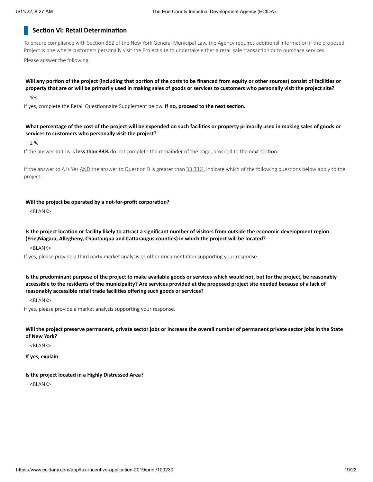## **Section VI: Retail Determination**

To ensure compliance with Section 862 of the New York General Municipal Law, the Agency requires additional information if the proposed Project is one where customers personally visit the Project site to undertake either a retail sale transaction or to purchase services. Please answer the following:

Will any portion of the project (including that portion of the costs to be financed from equity or other sources) consist of facilities or property that are or will be primarily used in making sales of goods or services to customers who personally visit the project site?

Yes

If yes, complete the Retail Questionnaire Supplement below. **If no, proceed to the next section.**

#### What percentage of the cost of the project will be expended on such facilities or property primarily used in making sales of goods or **services to customers who personally visit the project?**

2 %

If the answer to this is **less than 33%** do not complete the remainder of the page, proceed to the next section.

If the answer to A is Yes AND the answer to Question B is greater than 33.33%, indicate which of the following questions below apply to the project:

#### **Will the project be operated by a not-for-profit corporation?**

<BLANK>

Is the project location or facility likely to attract a significant number of visitors from outside the economic development region **(Erie,Niagara, Allegheny, Chautauqua and Cattaraugus counties) in which the project will be located?**

<BLANK>

If yes, please provide a third party market analysis or other documentation supporting your response.

Is the predominant purpose of the project to make available goods or services which would not, but for the project, be reasonably accessible to the residents of the municipality? Are services provided at the proposed project site needed because of a lack of **reasonably accessible retail trade facilities offering such goods or services?**

<BLANK>

If yes, please provide a market analysis supporting your response.

Will the project preserve permanent, private sector jobs or increase the overall number of permanent private sector jobs in the State **of New York?**

<BLANK>

**If yes, explain**

#### **Is the project located in a Highly Distressed Area?**

<BLANK>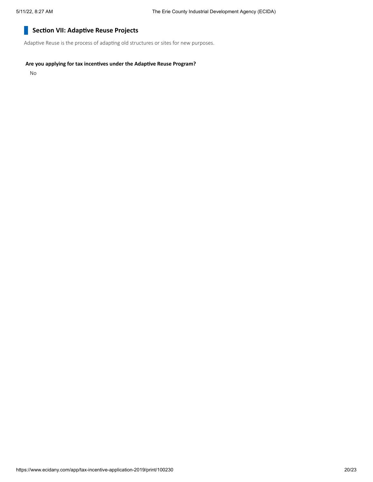#### **Section VII: Adaptive Reuse Projects** H

Adaptive Reuse is the process of adapting old structures or sites for new purposes.

### **Are you applying for tax incentives under the Adaptive Reuse Program?**

No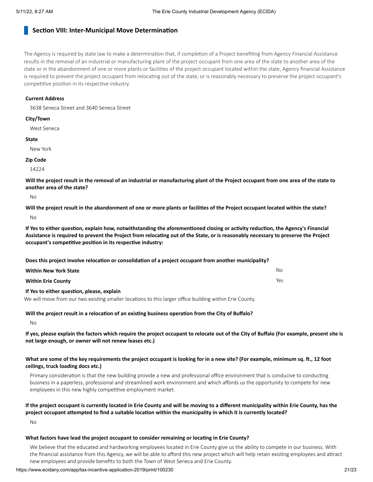## **Section VIII: Inter-Municipal Move Determination**

The Agency is required by state law to make a determination that, if completion of a Project benefiting from Agency Financial Assistance results in the removal of an industrial or manufacturing plant of the project occupant from one area of the state to another area of the state or in the abandonment of one or more plants or facilities of the project occupant located within the state, Agency financial Assistance is required to prevent the project occupant from relocating out of the state, or is reasonably necessary to preserve the project occupant's competitive position in its respective industry.

#### **Current Address**

3638 Seneca Street and 3640 Seneca Street

#### **City/Town**

West Seneca

#### **State**

New York

#### **Zip Code**

14224

Will the project result in the removal of an industrial or manufacturing plant of the Project occupant from one area of the state to **another area of the state?**

 $N<sub>0</sub>$ 

Will the project result in the abandonment of one or more plants or facilities of the Project occupant located within the state? No

If Yes to either question, explain how, notwithstanding the aforementioned closing or activity reduction, the Agency's Financial Assistance is required to prevent the Project from relocating out of the State, or is reasonably necessary to preserve the Project **occupant's competitive position in its respective industry:**

**Does this project involve relocation or consolidation of a project occupant from another municipality?**

| <b>Within New York State</b>                                | No. |
|-------------------------------------------------------------|-----|
| <b>Within Erie County</b>                                   | Yes |
| The Marchael and the accountance in the account and a first |     |

**If Yes to either question, please, explain** We will move from our two existing smaller locations to this larger office building within Erie County.

**Will the project result in a relocation of an existing business operation from the City of Buffalo?**

No

If yes, please explain the factors which require the project occupant to relocate out of the City of Buffalo (For example, present site is **not large enough, or owner will not renew leases etc.)**

#### What are some of the key requirements the project occupant is looking for in a new site? (For example, minimum sq. ft., 12 foot **ceilings, truck loading docs etc.)**

Primary consideration is that the new building provide a new and professional office environment that is conducive to conducting business in a paperless, professional and streamlined work environment and which affords us the opportunity to compete for new employees in this new highly competitive employment market.

## If the project occupant is currently located in Erie County and will be moving to a different municipality within Erie County, has the project occupant attempted to find a suitable location within the municipality in which it is currently located?

No

#### **What factors have lead the project occupant to consider remaining or locating in Erie County?**

We believe that the educated and hardworking employees located in Erie County give us the ability to compete in our business. With the financial assistance from this Agency, we will be able to afford this new project which will help retain existing employees and attract new employees and provide benefits to both the Town of West Seneca and Erie County.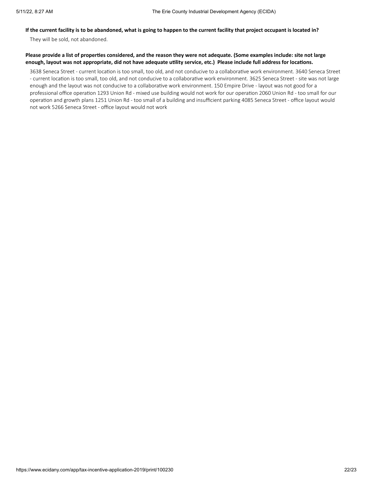## If the current facility is to be abandoned, what is going to happen to the current facility that project occupant is located in?

They will be sold, not abandoned.

#### Please provide a list of properties considered, and the reason they were not adequate. (Some examples include: site not large enough, layout was not appropriate, did not have adequate utility service, etc.) Please include full address for locations.

3638 Seneca Street - current location is too small, too old, and not conducive to a collaborative work environment. 3640 Seneca Street - current location is too small, too old, and not conducive to a collaborative work environment. 3625 Seneca Street - site was not large enough and the layout was not conducive to a collaborative work environment. 150 Empire Drive - layout was not good for a professional office operation 1293 Union Rd - mixed use building would not work for our operation 2060 Union Rd - too small for our operation and growth plans 1251 Union Rd - too small of a building and insufficient parking 4085 Seneca Street - office layout would not work 5266 Seneca Street - office layout would not work